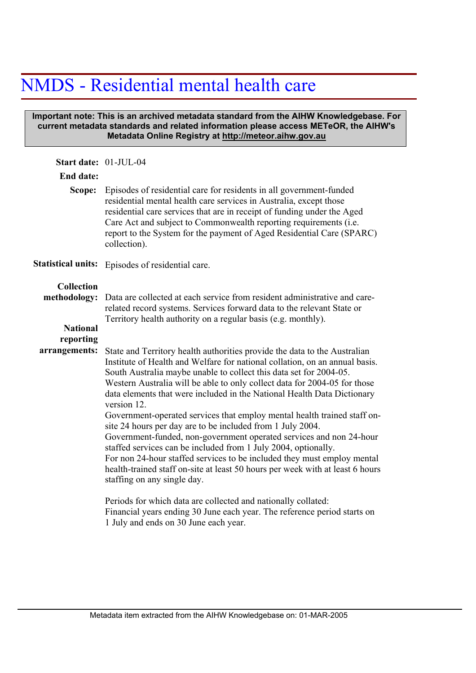## NMDS - Residential mental health care

## **Important note: This is an archived metadata standard from the AIHW Knowledgebase. For current metadata standards and related information please access METeOR, the AIHW's Metadata Online Registry at http://meteor.aihw.gov.au**

| Start date: 01-JUL-04     |                                                                                                                                                                                                                                                                                                                                                                                                                                                                                                                                                                                                                                                                                                                                                                                                                                                                                                                                                                                                                                                                           |  |  |  |  |  |
|---------------------------|---------------------------------------------------------------------------------------------------------------------------------------------------------------------------------------------------------------------------------------------------------------------------------------------------------------------------------------------------------------------------------------------------------------------------------------------------------------------------------------------------------------------------------------------------------------------------------------------------------------------------------------------------------------------------------------------------------------------------------------------------------------------------------------------------------------------------------------------------------------------------------------------------------------------------------------------------------------------------------------------------------------------------------------------------------------------------|--|--|--|--|--|
| <b>End date:</b>          |                                                                                                                                                                                                                                                                                                                                                                                                                                                                                                                                                                                                                                                                                                                                                                                                                                                                                                                                                                                                                                                                           |  |  |  |  |  |
| Scope:                    | Episodes of residential care for residents in all government-funded<br>residential mental health care services in Australia, except those<br>residential care services that are in receipt of funding under the Aged<br>Care Act and subject to Commonwealth reporting requirements (i.e.<br>report to the System for the payment of Aged Residential Care (SPARC)<br>collection).                                                                                                                                                                                                                                                                                                                                                                                                                                                                                                                                                                                                                                                                                        |  |  |  |  |  |
| <b>Statistical units:</b> | Episodes of residential care.                                                                                                                                                                                                                                                                                                                                                                                                                                                                                                                                                                                                                                                                                                                                                                                                                                                                                                                                                                                                                                             |  |  |  |  |  |
| Collection                |                                                                                                                                                                                                                                                                                                                                                                                                                                                                                                                                                                                                                                                                                                                                                                                                                                                                                                                                                                                                                                                                           |  |  |  |  |  |
| methodology:              | Data are collected at each service from resident administrative and care-<br>related record systems. Services forward data to the relevant State or<br>Territory health authority on a regular basis (e.g. monthly).                                                                                                                                                                                                                                                                                                                                                                                                                                                                                                                                                                                                                                                                                                                                                                                                                                                      |  |  |  |  |  |
| <b>National</b>           |                                                                                                                                                                                                                                                                                                                                                                                                                                                                                                                                                                                                                                                                                                                                                                                                                                                                                                                                                                                                                                                                           |  |  |  |  |  |
| reporting                 |                                                                                                                                                                                                                                                                                                                                                                                                                                                                                                                                                                                                                                                                                                                                                                                                                                                                                                                                                                                                                                                                           |  |  |  |  |  |
| arrangements:             | State and Territory health authorities provide the data to the Australian<br>Institute of Health and Welfare for national collation, on an annual basis.<br>South Australia maybe unable to collect this data set for 2004-05.<br>Western Australia will be able to only collect data for 2004-05 for those<br>data elements that were included in the National Health Data Dictionary<br>version 12.<br>Government-operated services that employ mental health trained staff on-<br>site 24 hours per day are to be included from 1 July 2004.<br>Government-funded, non-government operated services and non 24-hour<br>staffed services can be included from 1 July 2004, optionally.<br>For non 24-hour staffed services to be included they must employ mental<br>health-trained staff on-site at least 50 hours per week with at least 6 hours<br>staffing on any single day.<br>Periods for which data are collected and nationally collated:<br>Financial years ending 30 June each year. The reference period starts on<br>1 July and ends on 30 June each year. |  |  |  |  |  |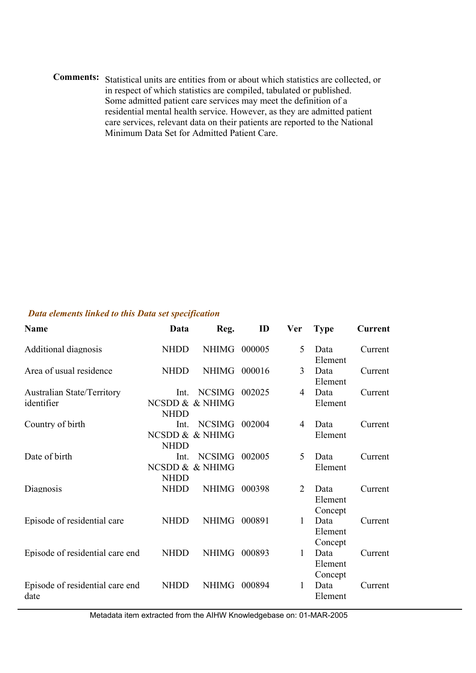Comments: Statistical units are entities from or about which statistics are collected, or in respect of which statistics are compiled, tabulated or published. Some admitted patient care services may meet the definition of a residential mental health service. However, as they are admitted patient care services, relevant data on their patients are reported to the National Minimum Data Set for Admitted Patient Care.

## *Data elements linked to this Data set specification*

| <b>Name</b>                                     | Data                | Reg.                             | ID     | <b>Ver</b>     | <b>Type</b>                | <b>Current</b> |
|-------------------------------------------------|---------------------|----------------------------------|--------|----------------|----------------------------|----------------|
| Additional diagnosis                            | <b>NHDD</b>         | NHIMG 000005                     |        | 5              | Data<br>Element            | Current        |
| Area of usual residence                         | <b>NHDD</b>         | <b>NHIMG</b>                     | 000016 | 3              | Data<br>Element            | Current        |
| <b>Australian State/Territory</b><br>identifier | Int.<br><b>NHDD</b> | <b>NCSIMG</b><br>NCSDD & & NHIMG | 002025 | 4              | Data<br>Element            | Current        |
| Country of birth                                | Int.<br><b>NHDD</b> | <b>NCSIMG</b><br>NCSDD & & NHIMG | 002004 | 4              | Data<br>Element            | Current        |
| Date of birth                                   | Int.<br><b>NHDD</b> | <b>NCSIMG</b><br>NCSDD & & NHIMG | 002005 | 5              | Data<br>Element            | Current        |
| Diagnosis                                       | <b>NHDD</b>         | <b>NHIMG</b>                     | 000398 | $\overline{2}$ | Data<br>Element<br>Concept | Current        |
| Episode of residential care                     | <b>NHDD</b>         | <b>NHIMG</b>                     | 000891 | 1              | Data<br>Element<br>Concept | Current        |
| Episode of residential care end                 | <b>NHDD</b>         | <b>NHIMG</b>                     | 000893 | $\mathbf{1}$   | Data<br>Element<br>Concept | Current        |
| Episode of residential care end<br>date         | <b>NHDD</b>         | <b>NHIMG</b>                     | 000894 | 1              | Data<br>Element            | Current        |

Metadata item extracted from the AIHW Knowledgebase on: 01-MAR-2005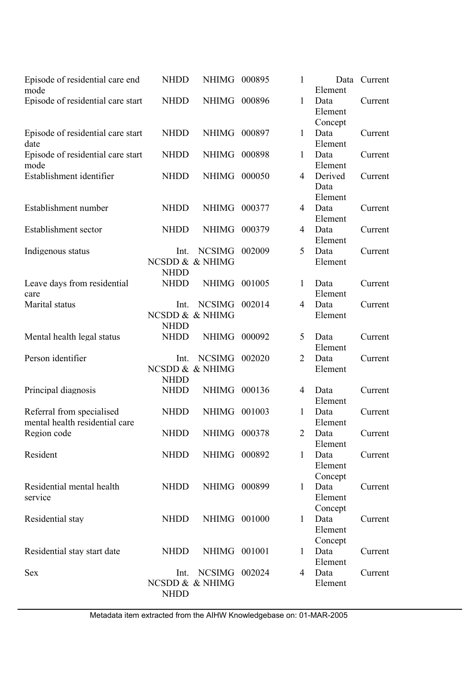| Episode of residential care end<br>mode                     | <b>NHDD</b>                            | NHIMG 000895                     |        | 1              | Data<br>Element            | Current |
|-------------------------------------------------------------|----------------------------------------|----------------------------------|--------|----------------|----------------------------|---------|
| Episode of residential care start                           | <b>NHDD</b>                            | NHIMG 000896                     |        | $\mathbf{1}$   | Data<br>Element<br>Concept | Current |
| Episode of residential care start<br>date                   | <b>NHDD</b>                            | <b>NHIMG</b>                     | 000897 | $\mathbf{1}$   | Data<br>Element            | Current |
| Episode of residential care start<br>mode                   | <b>NHDD</b>                            | <b>NHIMG</b>                     | 000898 | 1              | Data<br>Element            | Current |
| Establishment identifier                                    | <b>NHDD</b>                            | NHIMG 000050                     |        | 4              | Derived<br>Data<br>Element | Current |
| Establishment number                                        | <b>NHDD</b>                            | <b>NHIMG</b>                     | 000377 | 4              | Data<br>Element            | Current |
| Establishment sector                                        | <b>NHDD</b>                            | <b>NHIMG</b>                     | 000379 | 4              | Data<br>Element            | Current |
| Indigenous status                                           | Int.<br>NCSDD & & NHIMG<br><b>NHDD</b> | <b>NCSIMG</b>                    | 002009 | 5              | Data<br>Element            | Current |
| Leave days from residential<br>care                         | <b>NHDD</b>                            | NHIMG 001005                     |        | $\mathbf{1}$   | Data<br>Element            | Current |
| Marital status                                              | Int.<br>NCSDD & & NHIMG<br><b>NHDD</b> | <b>NCSIMG</b>                    | 002014 | 4              | Data<br>Element            | Current |
| Mental health legal status                                  | <b>NHDD</b>                            | <b>NHIMG</b>                     | 000092 | 5              | Data<br>Element            | Current |
| Person identifier                                           | Int.<br><b>NHDD</b>                    | <b>NCSIMG</b><br>NCSDD & & NHIMG | 002020 | $\overline{2}$ | Data<br>Element            | Current |
| Principal diagnosis                                         | <b>NHDD</b>                            | <b>NHIMG</b>                     | 000136 | 4              | Data<br>Element            | Current |
| Referral from specialised<br>mental health residential care | <b>NHDD</b>                            | <b>NHIMG</b>                     | 001003 | 1              | Data<br>Element            | Current |
| Region code                                                 | <b>NHDD</b>                            | NHIMG 000378                     |        | 2              | Data<br>Element            | Current |
| Resident                                                    | <b>NHDD</b>                            | NHIMG 000892                     |        | $\mathbf{1}$   | Data<br>Element<br>Concept | Current |
| Residential mental health<br>service                        | <b>NHDD</b>                            | NHIMG 000899                     |        | $\mathbf{1}$   | Data<br>Element<br>Concept | Current |
| Residential stay                                            | <b>NHDD</b>                            | NHIMG 001000                     |        | $\mathbf{1}$   | Data<br>Element<br>Concept | Current |
| Residential stay start date                                 | <b>NHDD</b>                            | NHIMG 001001                     |        | $\mathbf{1}$   | Data<br>Element            | Current |
| <b>Sex</b>                                                  | Int.<br><b>NHDD</b>                    | NCSIMG 002024<br>NCSDD & & NHIMG |        | 4              | Data<br>Element            | Current |